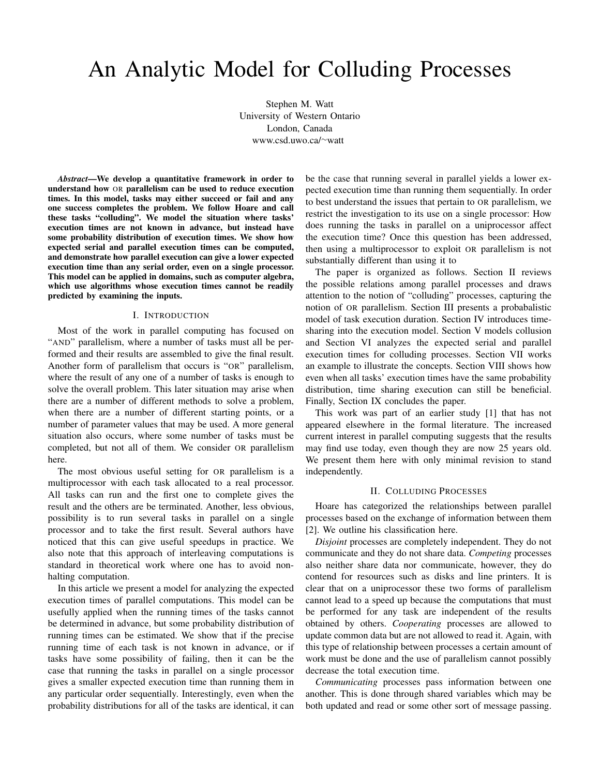# An Analytic Model for Colluding Processes

Stephen M. Watt University of Western Ontario London, Canada www.csd.uwo.ca/<sup>∼</sup>watt

*Abstract*—We develop a quantitative framework in order to understand how OR parallelism can be used to reduce execution times. In this model, tasks may either succeed or fail and any one success completes the problem. We follow Hoare and call these tasks "colluding". We model the situation where tasks' execution times are not known in advance, but instead have some probability distribution of execution times. We show how expected serial and parallel execution times can be computed, and demonstrate how parallel execution can give a lower expected execution time than any serial order, even on a single processor. This model can be applied in domains, such as computer algebra, which use algorithms whose execution times cannot be readily predicted by examining the inputs.

## I. INTRODUCTION

Most of the work in parallel computing has focused on "AND" parallelism, where a number of tasks must all be performed and their results are assembled to give the final result. Another form of parallelism that occurs is "OR" parallelism, where the result of any one of a number of tasks is enough to solve the overall problem. This later situation may arise when there are a number of different methods to solve a problem, when there are a number of different starting points, or a number of parameter values that may be used. A more general situation also occurs, where some number of tasks must be completed, but not all of them. We consider OR parallelism here.

The most obvious useful setting for OR parallelism is a multiprocessor with each task allocated to a real processor. All tasks can run and the first one to complete gives the result and the others are be terminated. Another, less obvious, possibility is to run several tasks in parallel on a single processor and to take the first result. Several authors have noticed that this can give useful speedups in practice. We also note that this approach of interleaving computations is standard in theoretical work where one has to avoid nonhalting computation.

In this article we present a model for analyzing the expected execution times of parallel computations. This model can be usefully applied when the running times of the tasks cannot be determined in advance, but some probability distribution of running times can be estimated. We show that if the precise running time of each task is not known in advance, or if tasks have some possibility of failing, then it can be the case that running the tasks in parallel on a single processor gives a smaller expected execution time than running them in any particular order sequentially. Interestingly, even when the probability distributions for all of the tasks are identical, it can

be the case that running several in parallel yields a lower expected execution time than running them sequentially. In order to best understand the issues that pertain to OR parallelism, we restrict the investigation to its use on a single processor: How does running the tasks in parallel on a uniprocessor affect the execution time? Once this question has been addressed, then using a multiprocessor to exploit OR parallelism is not substantially different than using it to

The paper is organized as follows. Section II reviews the possible relations among parallel processes and draws attention to the notion of "colluding" processes, capturing the notion of OR parallelism. Section III presents a probabalistic model of task execution duration. Section IV introduces timesharing into the execution model. Section V models collusion and Section VI analyzes the expected serial and parallel execution times for colluding processes. Section VII works an example to illustrate the concepts. Section VIII shows how even when all tasks' execution times have the same probability distribution, time sharing execution can still be beneficial. Finally, Section IX concludes the paper.

This work was part of an earlier study [1] that has not appeared elsewhere in the formal literature. The increased current interest in parallel computing suggests that the results may find use today, even though they are now 25 years old. We present them here with only minimal revision to stand independently.

## II. COLLUDING PROCESSES

Hoare has categorized the relationships between parallel processes based on the exchange of information between them [2]. We outline his classification here.

*Disjoint* processes are completely independent. They do not communicate and they do not share data. *Competing* processes also neither share data nor communicate, however, they do contend for resources such as disks and line printers. It is clear that on a uniprocessor these two forms of parallelism cannot lead to a speed up because the computations that must be performed for any task are independent of the results obtained by others. *Cooperating* processes are allowed to update common data but are not allowed to read it. Again, with this type of relationship between processes a certain amount of work must be done and the use of parallelism cannot possibly decrease the total execution time.

*Communicating* processes pass information between one another. This is done through shared variables which may be both updated and read or some other sort of message passing.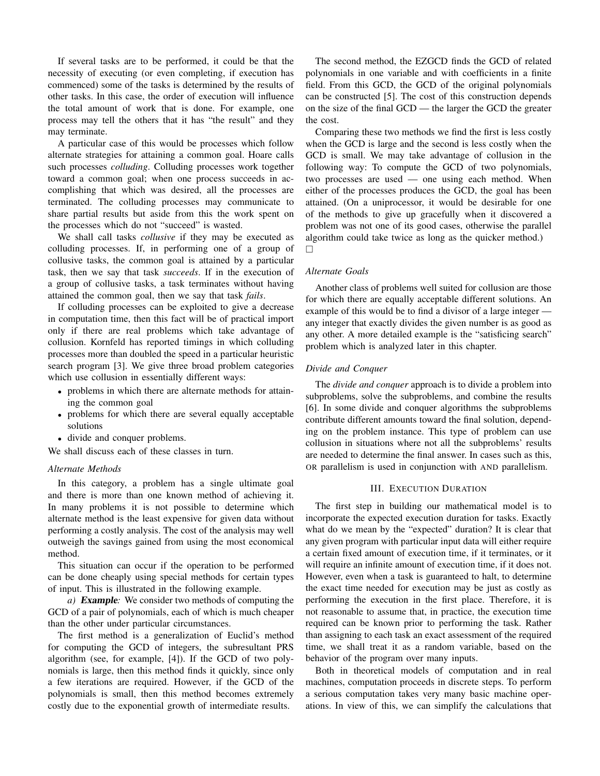If several tasks are to be performed, it could be that the necessity of executing (or even completing, if execution has commenced) some of the tasks is determined by the results of other tasks. In this case, the order of execution will influence the total amount of work that is done. For example, one process may tell the others that it has "the result" and they may terminate.

A particular case of this would be processes which follow alternate strategies for attaining a common goal. Hoare calls such processes *colluding*. Colluding processes work together toward a common goal; when one process succeeds in accomplishing that which was desired, all the processes are terminated. The colluding processes may communicate to share partial results but aside from this the work spent on the processes which do not "succeed" is wasted.

We shall call tasks *collusive* if they may be executed as colluding processes. If, in performing one of a group of collusive tasks, the common goal is attained by a particular task, then we say that task *succeeds*. If in the execution of a group of collusive tasks, a task terminates without having attained the common goal, then we say that task *fails*.

If colluding processes can be exploited to give a decrease in computation time, then this fact will be of practical import only if there are real problems which take advantage of collusion. Kornfeld has reported timings in which colluding processes more than doubled the speed in a particular heuristic search program [3]. We give three broad problem categories which use collusion in essentially different ways:

- problems in which there are alternate methods for attaining the common goal
- problems for which there are several equally acceptable solutions
- divide and conquer problems.

We shall discuss each of these classes in turn.

# *Alternate Methods*

In this category, a problem has a single ultimate goal and there is more than one known method of achieving it. In many problems it is not possible to determine which alternate method is the least expensive for given data without performing a costly analysis. The cost of the analysis may well outweigh the savings gained from using the most economical method.

This situation can occur if the operation to be performed can be done cheaply using special methods for certain types of input. This is illustrated in the following example.

*a)* Example*:* We consider two methods of computing the GCD of a pair of polynomials, each of which is much cheaper than the other under particular circumstances.

The first method is a generalization of Euclid's method for computing the GCD of integers, the subresultant PRS algorithm (see, for example, [4]). If the GCD of two polynomials is large, then this method finds it quickly, since only a few iterations are required. However, if the GCD of the polynomials is small, then this method becomes extremely costly due to the exponential growth of intermediate results.

The second method, the EZGCD finds the GCD of related polynomials in one variable and with coefficients in a finite field. From this GCD, the GCD of the original polynomials can be constructed [5]. The cost of this construction depends on the size of the final GCD — the larger the GCD the greater the cost.

Comparing these two methods we find the first is less costly when the GCD is large and the second is less costly when the GCD is small. We may take advantage of collusion in the following way: To compute the GCD of two polynomials, two processes are used — one using each method. When either of the processes produces the GCD, the goal has been attained. (On a uniprocessor, it would be desirable for one of the methods to give up gracefully when it discovered a problem was not one of its good cases, otherwise the parallel algorithm could take twice as long as the quicker method.)  $\Box$ 

# *Alternate Goals*

Another class of problems well suited for collusion are those for which there are equally acceptable different solutions. An example of this would be to find a divisor of a large integer any integer that exactly divides the given number is as good as any other. A more detailed example is the "satisficing search" problem which is analyzed later in this chapter.

## *Divide and Conquer*

The *divide and conquer* approach is to divide a problem into subproblems, solve the subproblems, and combine the results [6]. In some divide and conquer algorithms the subproblems contribute different amounts toward the final solution, depending on the problem instance. This type of problem can use collusion in situations where not all the subproblems' results are needed to determine the final answer. In cases such as this, OR parallelism is used in conjunction with AND parallelism.

#### III. EXECUTION DURATION

The first step in building our mathematical model is to incorporate the expected execution duration for tasks. Exactly what do we mean by the "expected" duration? It is clear that any given program with particular input data will either require a certain fixed amount of execution time, if it terminates, or it will require an infinite amount of execution time, if it does not. However, even when a task is guaranteed to halt, to determine the exact time needed for execution may be just as costly as performing the execution in the first place. Therefore, it is not reasonable to assume that, in practice, the execution time required can be known prior to performing the task. Rather than assigning to each task an exact assessment of the required time, we shall treat it as a random variable, based on the behavior of the program over many inputs.

Both in theoretical models of computation and in real machines, computation proceeds in discrete steps. To perform a serious computation takes very many basic machine operations. In view of this, we can simplify the calculations that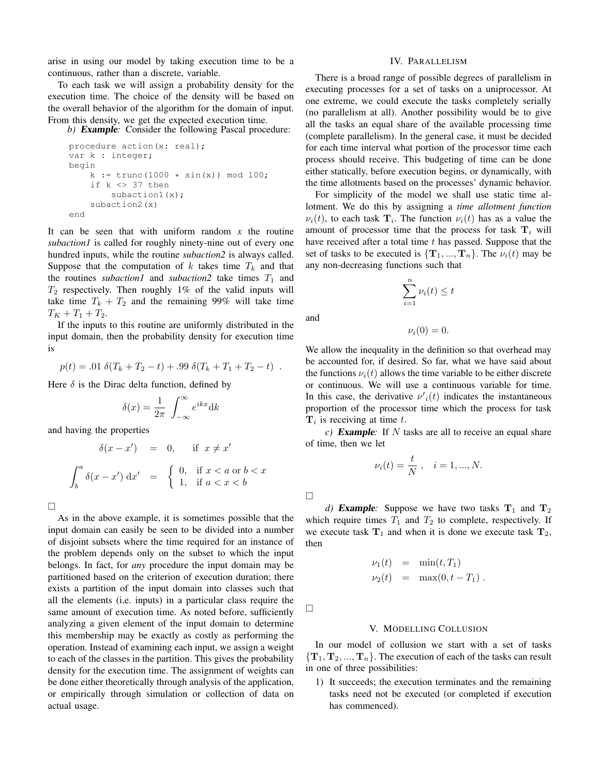arise in using our model by taking execution time to be a continuous, rather than a discrete, variable.

To each task we will assign a probability density for the execution time. The choice of the density will be based on the overall behavior of the algorithm for the domain of input. From this density, we get the expected execution time.

*b)* Example*:* Consider the following Pascal procedure:

```
procedure action(x: real);
var k : integer;
begin
    k := true(1000 * sin(x)) \mod 100;if k \leq 37 then
        subaction1(x);
    subaction2(x)
end
```
It can be seen that with uniform random *x* the routine *subaction1* is called for roughly ninety-nine out of every one hundred inputs, while the routine *subaction2* is always called. Suppose that the computation of k takes time  $T_k$  and that the routines *subaction1* and *subaction2* take times  $T_1$  and  $T_2$  respectively. Then roughly 1% of the valid inputs will take time  $T_k + T_2$  and the remaining 99% will take time  $T_K + T_1 + T_2.$ 

If the inputs to this routine are uniformly distributed in the input domain, then the probability density for execution time is

$$
p(t) = .01 \; \delta(T_k+T_2-t) + .99 \; \delta(T_k+T_1+T_2-t) \;\; .
$$

Here  $\delta$  is the Dirac delta function, defined by

$$
\delta(x) = \frac{1}{2\pi} \int_{-\infty}^{\infty} e^{ikx} \mathrm{d}k
$$

and having the properties

$$
\delta(x - x') = 0, \quad \text{if } x \neq x'
$$

$$
\int_b^a \delta(x - x') dx' = \begin{cases} 0, & \text{if } x < a \text{ or } b < x \\ 1, & \text{if } a < x < b \end{cases}
$$

 $\Box$ 

 $\ddot{\phantom{0}}$ 

As in the above example, it is sometimes possible that the input domain can easily be seen to be divided into a number of disjoint subsets where the time required for an instance of the problem depends only on the subset to which the input belongs. In fact, for *any* procedure the input domain may be partitioned based on the criterion of execution duration; there exists a partition of the input domain into classes such that all the elements (i.e. inputs) in a particular class require the same amount of execution time. As noted before, sufficiently analyzing a given element of the input domain to determine this membership may be exactly as costly as performing the operation. Instead of examining each input, we assign a weight to each of the classes in the partition. This gives the probability density for the execution time. The assignment of weights can be done either theoretically through analysis of the application, or empirically through simulation or collection of data on actual usage.

## IV. PARALLELISM

There is a broad range of possible degrees of parallelism in executing processes for a set of tasks on a uniprocessor. At one extreme, we could execute the tasks completely serially (no parallelism at all). Another possibility would be to give all the tasks an equal share of the available processing time (complete parallelism). In the general case, it must be decided for each time interval what portion of the processor time each process should receive. This budgeting of time can be done either statically, before execution begins, or dynamically, with the time allotments based on the processes' dynamic behavior.

For simplicity of the model we shall use static time allotment. We do this by assigning a *time allotment function*  $\nu_i(t)$ , to each task  $\mathbf{T}_i$ . The function  $\nu_i(t)$  has as a value the amount of processor time that the process for task  $T_i$  will have received after a total time  $t$  has passed. Suppose that the set of tasks to be executed is  $\{T_1, ..., T_n\}$ . The  $\nu_i(t)$  may be any non-decreasing functions such that

$$
\sum_{i=1}^{n} \nu_i(t) \le t
$$

and

$$
\nu_i(0)=0.
$$

We allow the inequality in the definition so that overhead may be accounted for, if desired. So far, what we have said about the functions  $\nu_i(t)$  allows the time variable to be either discrete or continuous. We will use a continuous variable for time. In this case, the derivative  $\nu'_{i}(t)$  indicates the instantaneous proportion of the processor time which the process for task  $\mathbf{T}_i$  is receiving at time t.

*c)* Example*:* If N tasks are all to receive an equal share of time, then we let

$$
\nu_i(t) = \frac{t}{N} \ , \quad i = 1, ..., N.
$$

 $\Box$ 

*d)* **Example**: Suppose we have two tasks  $T_1$  and  $T_2$ which require times  $T_1$  and  $T_2$  to complete, respectively. If we execute task  $T_1$  and when it is done we execute task  $T_2$ , then

$$
\nu_1(t) = \min(t, T_1) \n\nu_2(t) = \max(0, t - T_1).
$$

 $\Box$ 

## V. MODELLING COLLUSION

In our model of collusion we start with a set of tasks  $\{T_1, T_2, ..., T_n\}$ . The execution of each of the tasks can result in one of three possibilities:

1) It succeeds; the execution terminates and the remaining tasks need not be executed (or completed if execution has commenced).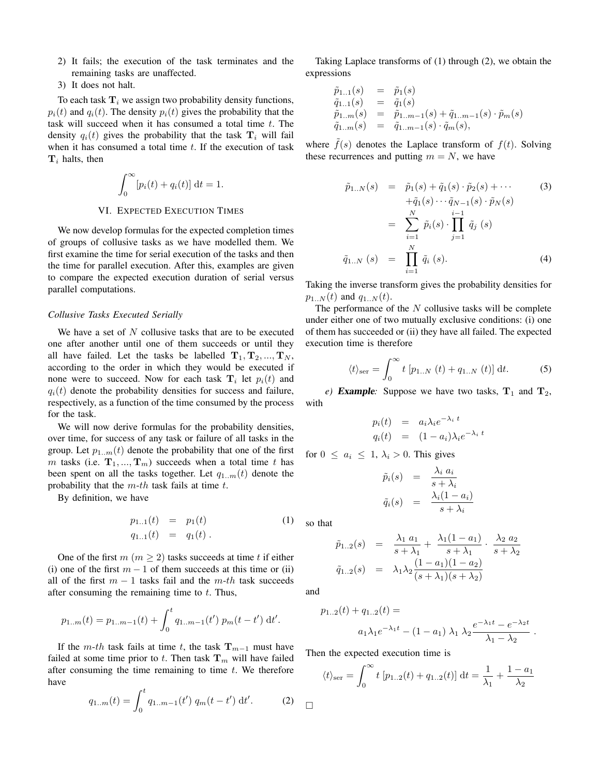- 2) It fails; the execution of the task terminates and the remaining tasks are unaffected.
- 3) It does not halt.

To each task  $T_i$  we assign two probability density functions,  $p_i(t)$  and  $q_i(t)$ . The density  $p_i(t)$  gives the probability that the task will succeed when it has consumed a total time  $t$ . The density  $q_i(t)$  gives the probability that the task  $\mathbf{T}_i$  will fail when it has consumed a total time  $t$ . If the execution of task  $T_i$  halts, then

$$
\int_0^\infty [p_i(t) + q_i(t)] \, \mathrm{d}t = 1.
$$

# VI. EXPECTED EXECUTION TIMES

We now develop formulas for the expected completion times of groups of collusive tasks as we have modelled them. We first examine the time for serial execution of the tasks and then the time for parallel execution. After this, examples are given to compare the expected execution duration of serial versus parallel computations.

#### *Collusive Tasks Executed Serially*

We have a set of  $N$  collusive tasks that are to be executed one after another until one of them succeeds or until they all have failed. Let the tasks be labelled  $T_1, T_2, ..., T_N$ , according to the order in which they would be executed if none were to succeed. Now for each task  $\mathbf{T}_i$  let  $p_i(t)$  and  $q_i(t)$  denote the probability densities for success and failure, respectively, as a function of the time consumed by the process for the task.

We will now derive formulas for the probability densities, over time, for success of any task or failure of all tasks in the group. Let  $p_{1..m}(t)$  denote the probability that one of the first m tasks (i.e.  $T_1, ..., T_m$ ) succeeds when a total time t has been spent on all the tasks together. Let  $q_{1..m}(t)$  denote the probability that the  $m-th$  task fails at time  $t$ .

By definition, we have

$$
p_{1..1}(t) = p_1(t) \qquad (1)
$$
  
\n
$$
q_{1..1}(t) = q_1(t) \ .
$$

One of the first  $m (m \geq 2)$  tasks succeeds at time t if either (i) one of the first  $m - 1$  of them succeeds at this time or (ii) all of the first  $m - 1$  tasks fail and the m-th task succeeds after consuming the remaining time to  $t$ . Thus,

$$
p_{1..m}(t) = p_{1..m-1}(t) + \int_0^t q_{1..m-1}(t') p_m(t-t') dt'.
$$

If the m-th task fails at time t, the task  $T_{m-1}$  must have failed at some time prior to t. Then task  $\mathbf{T}_m$  will have failed after consuming the time remaining to time  $t$ . We therefore have

$$
q_{1..m}(t) = \int_0^t q_{1..m-1}(t') \, q_m(t-t') \, \mathrm{d}t'. \tag{2}
$$

Taking Laplace transforms of (1) through (2), we obtain the expressions

$$
\begin{array}{lll} \tilde{p}_{1..1}(s) & = & \tilde{p}_1(s) \\ \tilde{q}_{1..1}(s) & = & \tilde{q}_1(s) \\ \tilde{p}_{1..m}(s) & = & \tilde{p}_{1..m-1}(s) + \tilde{q}_{1..m-1}(s) \cdot \tilde{p}_m(s) \\ \tilde{q}_{1..m}(s) & = & \tilde{q}_{1..m-1}(s) \cdot \tilde{q}_m(s), \end{array}
$$

where  $f(s)$  denotes the Laplace transform of  $f(t)$ . Solving these recurrences and putting  $m = N$ , we have

$$
\tilde{p}_{1..N}(s) = \tilde{p}_1(s) + \tilde{q}_1(s) \cdot \tilde{p}_2(s) + \cdots
$$
\n
$$
+ \tilde{q}_1(s) \cdots \tilde{q}_{N-1}(s) \cdot \tilde{p}_N(s)
$$
\n
$$
= \sum_{i=1}^{N} \tilde{p}_i(s) \cdot \prod_{j=1}^{i-1} \tilde{q}_j(s)
$$
\n
$$
\tilde{q}_{1..N}(s) = \prod_{i=1}^{N} \tilde{q}_i(s).
$$
\n(4)

Taking the inverse transform gives the probability densities for  $p_{1..N}(t)$  and  $q_{1..N}(t)$ .

The performance of the  $N$  collusive tasks will be complete under either one of two mutually exclusive conditions: (i) one of them has succeeded or (ii) they have all failed. The expected execution time is therefore

$$
\langle t \rangle_{\text{ser}} = \int_0^\infty t \left[ p_{1..N} \left( t \right) + q_{1..N} \left( t \right) \right] \text{d}t. \tag{5}
$$

*e*) **Example**: Suppose we have two tasks,  $T_1$  and  $T_2$ , with

$$
p_i(t) = a_i \lambda_i e^{-\lambda_i t}
$$
  
\n
$$
q_i(t) = (1 - a_i) \lambda_i e^{-\lambda_i t}
$$

for  $0 \leq a_i \leq 1$ ,  $\lambda_i > 0$ . This gives

$$
\tilde{p}_i(s) = \frac{\lambda_i a_i}{s + \lambda_i} \n\tilde{q}_i(s) = \frac{\lambda_i (1 - a_i)}{s + \lambda_i}
$$

so that

$$
\tilde{p}_{1..2}(s) = \frac{\lambda_1 a_1}{s + \lambda_1} + \frac{\lambda_1 (1 - a_1)}{s + \lambda_1} \cdot \frac{\lambda_2 a_2}{s + \lambda_2} \n\tilde{q}_{1..2}(s) = \lambda_1 \lambda_2 \frac{(1 - a_1)(1 - a_2)}{(s + \lambda_1)(s + \lambda_2)}
$$

and

 $\Box$ 

$$
p_{1..2}(t) + q_{1..2}(t) =
$$
  
\n
$$
a_1 \lambda_1 e^{-\lambda_1 t} - (1 - a_1) \lambda_1 \lambda_2 \frac{e^{-\lambda_1 t} - e^{-\lambda_2 t}}{\lambda_1 - \lambda_2}.
$$

Then the expected execution time is

$$
\langle t \rangle_{\text{ser}} = \int_0^\infty t \left[ p_{1..2}(t) + q_{1..2}(t) \right] dt = \frac{1}{\lambda_1} + \frac{1 - a_1}{\lambda_2}
$$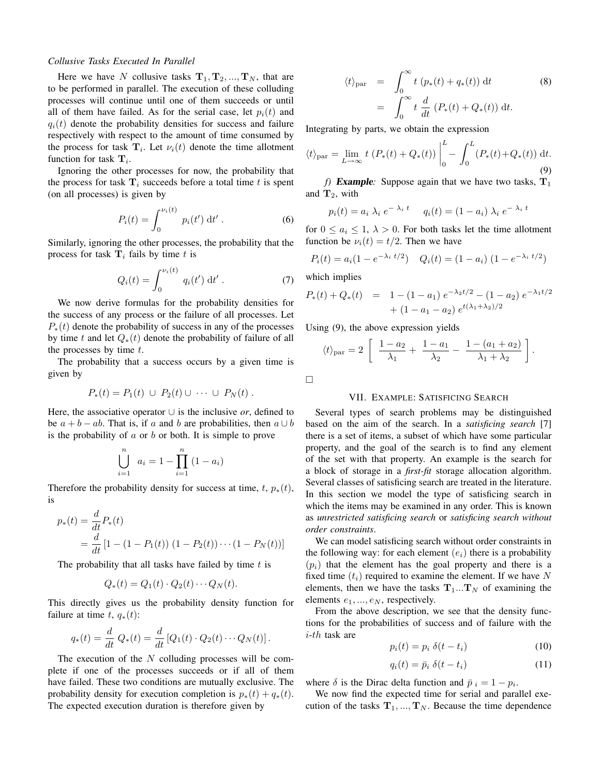## *Collusive Tasks Executed In Parallel*

Here we have N collusive tasks  $T_1, T_2, ..., T_N$ , that are to be performed in parallel. The execution of these colluding processes will continue until one of them succeeds or until all of them have failed. As for the serial case, let  $p_i(t)$  and  $q_i(t)$  denote the probability densities for success and failure respectively with respect to the amount of time consumed by the process for task  $\mathbf{T}_i$ . Let  $\nu_i(t)$  denote the time allotment function for task  $\mathbf{T}_i$ .

Ignoring the other processes for now, the probability that the process for task  $T_i$  succeeds before a total time t is spent (on all processes) is given by

$$
P_i(t) = \int_0^{\nu_i(t)} p_i(t') dt' .
$$
 (6)

Similarly, ignoring the other processes, the probability that the process for task  $\mathbf{T}_i$  fails by time t is

$$
Q_i(t) = \int_0^{\nu_i(t)} q_i(t') dt' . \tag{7}
$$

We now derive formulas for the probability densities for the success of any process or the failure of all processes. Let  $P_*(t)$  denote the probability of success in any of the processes by time t and let  $Q_*(t)$  denote the probability of failure of all the processes by time  $t$ .

The probability that a success occurs by a given time is given by

$$
P_*(t) = P_1(t) \cup P_2(t) \cup \cdots \cup P_N(t).
$$

Here, the associative operator ∪ is the inclusive *or*, defined to be  $a + b - ab$ . That is, if a and b are probabilities, then  $a \cup b$ is the probability of  $a$  or  $b$  or both. It is simple to prove

$$
\bigcup_{i=1}^{n} a_i = 1 - \prod_{i=1}^{n} (1 - a_i)
$$

Therefore the probability density for success at time, t,  $p_*(t)$ , is

$$
p_*(t) = \frac{d}{dt} P_*(t)
$$
  
= 
$$
\frac{d}{dt} [1 - (1 - P_1(t)) (1 - P_2(t)) \cdots (1 - P_N(t))]
$$

The probability that all tasks have failed by time  $t$  is

$$
Q_*(t) = Q_1(t) \cdot Q_2(t) \cdots Q_N(t).
$$

This directly gives us the probability density function for failure at time t,  $q_*(t)$ :

$$
q_*(t) = \frac{d}{dt} Q_*(t) = \frac{d}{dt} [Q_1(t) \cdot Q_2(t) \cdots Q_N(t)].
$$

The execution of the  $N$  colluding processes will be complete if one of the processes succeeds or if all of them have failed. These two conditions are mutually exclusive. The probability density for execution completion is  $p_*(t) + q_*(t)$ . The expected execution duration is therefore given by

$$
\langle t \rangle_{\text{par}} = \int_0^\infty t \left( p_*(t) + q_*(t) \right) dt
$$
\n
$$
= \int_0^\infty t \frac{d}{dt} \left( P_*(t) + Q_*(t) \right) dt.
$$
\n(8)

Integrating by parts, we obtain the expression

$$
\langle t \rangle_{\text{par}} = \lim_{L \to \infty} t \left( P_*(t) + Q_*(t) \right) \Big|_0^L - \int_0^L (P_*(t) + Q_*(t)) \, \mathrm{d}t. \tag{9}
$$

*f)* **Example**: Suppose again that we have two tasks,  $T_1$ and  $T_2$ , with

$$
p_i(t) = a_i \lambda_i e^{-\lambda_i t} \qquad q_i(t) = (1 - a_i) \lambda_i e^{-\lambda_i t}
$$

for  $0 \le a_i \le 1$ ,  $\lambda > 0$ . For both tasks let the time allotment function be  $\nu_i(t) = t/2$ . Then we have

$$
P_i(t) = a_i(1 - e^{-\lambda_i t/2}) \quad Q_i(t) = (1 - a_i) (1 - e^{-\lambda_i t/2})
$$

which implies

$$
P_*(t) + Q_*(t) = 1 - (1 - a_1) e^{-\lambda_2 t/2} - (1 - a_2) e^{-\lambda_1 t/2} + (1 - a_1 - a_2) e^{t(\lambda_1 + \lambda_2)/2}
$$

Using (9), the above expression yields

$$
\langle t \rangle_{\text{par}} = 2 \left[ \frac{1 - a_2}{\lambda_1} + \frac{1 - a_1}{\lambda_2} - \frac{1 - (a_1 + a_2)}{\lambda_1 + \lambda_2} \right].
$$

 $\Box$ 

#### VII. EXAMPLE: SATISFICING SEARCH

Several types of search problems may be distinguished based on the aim of the search. In a *satisficing search* [7] there is a set of items, a subset of which have some particular property, and the goal of the search is to find any element of the set with that property. An example is the search for a block of storage in a *first-fit* storage allocation algorithm. Several classes of satisficing search are treated in the literature. In this section we model the type of satisficing search in which the items may be examined in any order. This is known as *unrestricted satisficing search* or *satisficing search without order constraints*.

We can model satisficing search without order constraints in the following way: for each element  $(e_i)$  there is a probability  $(p_i)$  that the element has the goal property and there is a fixed time  $(t_i)$  required to examine the element. If we have N elements, then we have the tasks  $T_1...T_N$  of examining the elements  $e_1, ..., e_N$ , respectively.

From the above description, we see that the density functions for the probabilities of success and of failure with the i-th task are

$$
p_i(t) = p_i \; \delta(t - t_i) \tag{10}
$$

$$
q_i(t) = \bar{p}_i \; \delta(t - t_i) \tag{11}
$$

where  $\delta$  is the Dirac delta function and  $\bar{p}_i = 1 - p_i$ .

We now find the expected time for serial and parallel execution of the tasks  $T_1, ..., T_N$ . Because the time dependence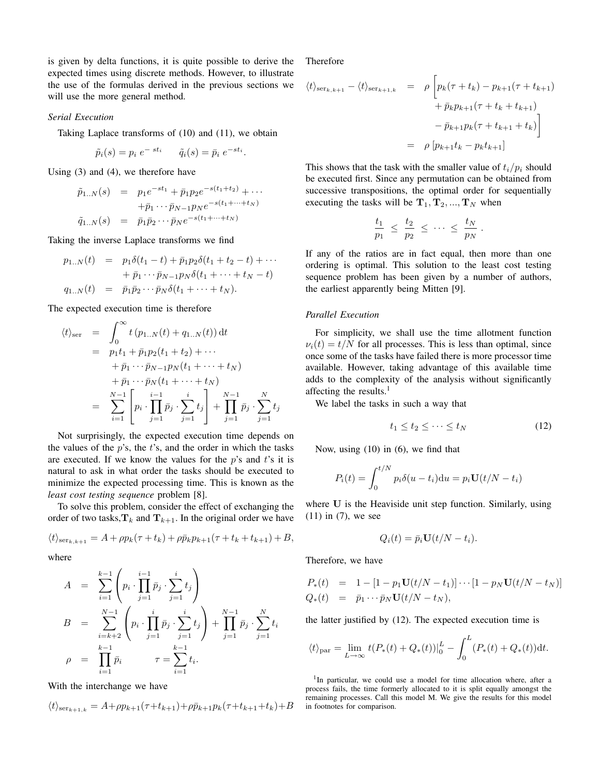is given by delta functions, it is quite possible to derive the expected times using discrete methods. However, to illustrate the use of the formulas derived in the previous sections we will use the more general method.

# *Serial Execution*

Taking Laplace transforms of (10) and (11), we obtain

$$
\tilde{p}_i(s) = p_i e^{-st_i} \qquad \tilde{q}_i(s) = \bar{p}_i e^{-st_i}.
$$

Using (3) and (4), we therefore have

$$
\tilde{p}_{1..N}(s) = p_1 e^{-st_1} + \bar{p}_1 p_2 e^{-s(t_1+t_2)} + \cdots \n+ \bar{p}_1 \cdots \bar{p}_{N-1} p_N e^{-s(t_1+\cdots+t_N)} \n\tilde{q}_{1..N}(s) = \bar{p}_1 \bar{p}_2 \cdots \bar{p}_N e^{-s(t_1+\cdots+t_N)}
$$

Taking the inverse Laplace transforms we find

$$
p_{1..N}(t) = p_1 \delta(t_1 - t) + \bar{p}_1 p_2 \delta(t_1 + t_2 - t) + \cdots + \bar{p}_1 \cdots \bar{p}_{N-1} p_N \delta(t_1 + \cdots + t_N - t) q_{1..N}(t) = \bar{p}_1 \bar{p}_2 \cdots \bar{p}_N \delta(t_1 + \cdots + t_N).
$$

The expected execution time is therefore

$$
\langle t \rangle_{\text{ser}} = \int_0^\infty t (p_{1..N}(t) + q_{1..N}(t)) dt \n= p_1 t_1 + \bar{p}_1 p_2(t_1 + t_2) + \cdots \n+ \bar{p}_1 \cdots \bar{p}_{N-1} p_N(t_1 + \cdots + t_N) \n+ \bar{p}_1 \cdots \bar{p}_N(t_1 + \cdots + t_N) \n= \sum_{i=1}^{N-1} \left[ p_i \cdot \prod_{j=1}^i \bar{p}_j \cdot \sum_{j=1}^N t_j \right] + \prod_{j=1}^N \bar{p}_j \cdot \sum_{j=1}^N t_j
$$

Not surprisingly, the expected execution time depends on the values of the  $p$ 's, the  $t$ 's, and the order in which the tasks are executed. If we know the values for the  $p$ 's and  $t$ 's it is natural to ask in what order the tasks should be executed to minimize the expected processing time. This is known as the *least cost testing sequence* problem [8].

To solve this problem, consider the effect of exchanging the order of two tasks,  $T_k$  and  $T_{k+1}$ . In the original order we have

$$
\langle t \rangle_{\text{ser}_{k,k+1}} = A + \rho p_k(\tau + t_k) + \rho \bar{p}_k p_{k+1}(\tau + t_k + t_{k+1}) + B,
$$

where

$$
A = \sum_{i=1}^{k-1} \left( p_i \cdot \prod_{j=1}^{i-1} \bar{p}_j \cdot \sum_{j=1}^i t_j \right)
$$
  
\n
$$
B = \sum_{i=k+2}^{N-1} \left( p_i \cdot \prod_{j=1}^i \bar{p}_j \cdot \sum_{j=1}^i t_j \right) + \prod_{j=1}^{N-1} \bar{p}_j \cdot \sum_{j=1}^N t_i
$$
  
\n
$$
\rho = \prod_{i=1}^{k-1} \bar{p}_i \qquad \tau = \sum_{i=1}^{k-1} t_i.
$$

With the interchange we have

$$
\langle t \rangle_{\text{ser}_{k+1,k}} = A + \rho p_{k+1}(\tau + t_{k+1}) + \rho \bar{p}_{k+1} p_k(\tau + t_{k+1} + t_k) + B
$$

Therefore

$$
\langle t \rangle_{\text{ser}_{k,k+1}} - \langle t \rangle_{\text{ser}_{k+1,k}} = \rho \left[ p_k(\tau + t_k) - p_{k+1}(\tau + t_{k+1}) + \bar{p}_k p_{k+1}(\tau + t_k + t_{k+1}) - \bar{p}_{k+1} p_k(\tau + t_{k+1} + t_k) \right]
$$
  
=  $\rho \left[ p_{k+1} t_k - p_k t_{k+1} \right]$ 

This shows that the task with the smaller value of  $t_i/p_i$  should be executed first. Since any permutation can be obtained from successive transpositions, the optimal order for sequentially executing the tasks will be  $T_1, T_2, ..., T_N$  when

$$
\frac{t_1}{p_1} \ \leq \ \frac{t_2}{p_2} \ \leq \ \cdots \ \leq \ \frac{t_N}{p_N} \ .
$$

If any of the ratios are in fact equal, then more than one ordering is optimal. This solution to the least cost testing sequence problem has been given by a number of authors, the earliest apparently being Mitten [9].

# *Parallel Execution*

For simplicity, we shall use the time allotment function  $\nu_i(t) = t/N$  for all processes. This is less than optimal, since once some of the tasks have failed there is more processor time available. However, taking advantage of this available time adds to the complexity of the analysis without significantly affecting the results.<sup>1</sup>

We label the tasks in such a way that

$$
t_1 \le t_2 \le \dots \le t_N \tag{12}
$$

Now, using (10) in (6), we find that

$$
P_i(t) = \int_0^{t/N} p_i \delta(u - t_i) \mathrm{d}u = p_i \mathbf{U}(t/N - t_i)
$$

where U is the Heaviside unit step function. Similarly, using (11) in (7), we see

$$
Q_i(t) = \bar{p}_i \mathbf{U}(t/N - t_i).
$$

Therefore, we have

$$
P_*(t) = 1 - [1 - p_1 \mathbf{U}(t/N - t_1)] \cdots [1 - p_N \mathbf{U}(t/N - t_N)]
$$
  
\n
$$
Q_*(t) = \bar{p}_1 \cdots \bar{p}_N \mathbf{U}(t/N - t_N),
$$

the latter justified by (12). The expected execution time is

$$
\langle t \rangle_{\text{par}} = \lim_{L \to \infty} t(P_*(t) + Q_*(t))|_0^L - \int_0^L (P_*(t) + Q_*(t)) \, \mathrm{d}t.
$$

<sup>1</sup>In particular, we could use a model for time allocation where, after a process fails, the time formerly allocated to it is split equally amongst the remaining processes. Call this model M. We give the results for this model in footnotes for comparison.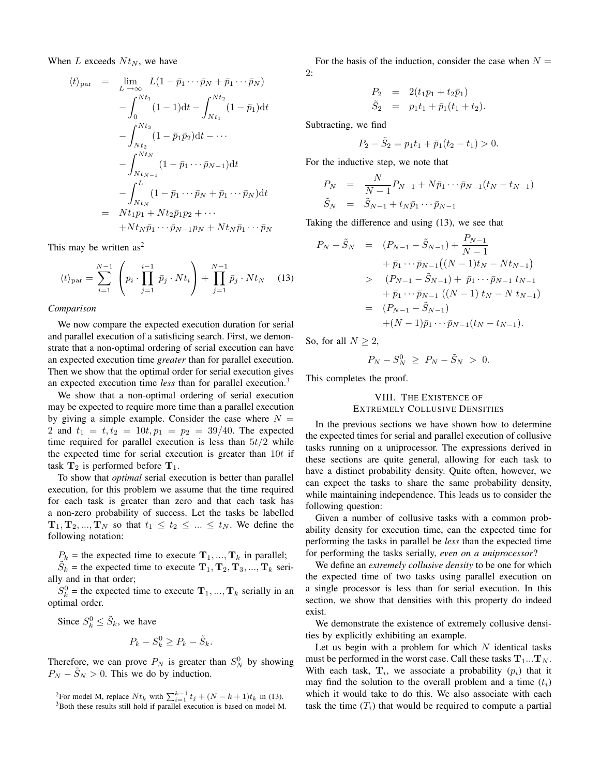When L exceeds  $N t_N$ , we have

$$
\langle t \rangle_{\text{par}} = \lim_{L \to \infty} L(1 - \bar{p}_1 \cdots \bar{p}_N + \bar{p}_1 \cdots \bar{p}_N) \n- \int_0^{N t_1} (1 - 1) dt - \int_{N t_1}^{N t_2} (1 - \bar{p}_1) dt \n- \int_{N t_2}^{N t_3} (1 - \bar{p}_1 \bar{p}_2) dt - \cdots \n- \int_{N t_N}^{N t_N} (1 - \bar{p}_1 \cdots \bar{p}_{N-1}) dt \n- \int_{N t_N}^{L} (1 - \bar{p}_1 \cdots \bar{p}_N + \bar{p}_1 \cdots \bar{p}_N) dt \n= N t_1 p_1 + N t_2 \bar{p}_1 p_2 + \cdots \n+ N t_N \bar{p}_1 \cdots \bar{p}_N - 1 p_N + N t_N \bar{p}_1 \cdots \bar{p}_N
$$

This may be written  $as<sup>2</sup>$ 

$$
\langle t \rangle_{\text{par}} = \sum_{i=1}^{N-1} \left( p_i \cdot \prod_{j=1}^{i-1} \bar{p}_j \cdot N t_i \right) + \prod_{j=1}^{N-1} \bar{p}_j \cdot N t_N \quad (13)
$$

*Comparison*

We now compare the expected execution duration for serial and parallel execution of a satisficing search. First, we demonstrate that a non-optimal ordering of serial execution can have an expected execution time *greater* than for parallel execution. Then we show that the optimal order for serial execution gives an expected execution time *less* than for parallel execution.<sup>3</sup>

We show that a non-optimal ordering of serial execution may be expected to require more time than a parallel execution by giving a simple example. Consider the case where  $N =$ 2 and  $t_1 = t, t_2 = 10t, p_1 = p_2 = 39/40$ . The expected time required for parallel execution is less than  $5t/2$  while the expected time for serial execution is greater than  $10t$  if task  $T_2$  is performed before  $T_1$ .

To show that *optimal* serial execution is better than parallel execution, for this problem we assume that the time required for each task is greater than zero and that each task has a non-zero probability of success. Let the tasks be labelled  $\mathbf{T}_1, \mathbf{T}_2, ..., \mathbf{T}_N$  so that  $t_1 \leq t_2 \leq ... \leq t_N$ . We define the following notation:

 $P_k$  = the expected time to execute  $\mathbf{T}_1, ..., \mathbf{T}_k$  in parallel;

 $\tilde{S}_k$  = the expected time to execute  $\mathbf{T}_1, \mathbf{T}_2, \mathbf{T}_3, ..., \mathbf{T}_k$  serially and in that order;

 $S_k^0$  = the expected time to execute  $\mathbf{T}_1, ..., \mathbf{T}_k$  serially in an optimal order.

Since  $S_k^0 \leq \tilde{S}_k$ , we have

$$
P_k - S_k^0 \ge P_k - \tilde{S}_k.
$$

Therefore, we can prove  $P_N$  is greater than  $S_N^0$  by showing  $P_N - S_N > 0$ . This we do by induction.

For the basis of the induction, consider the case when  $N =$ 2:

$$
P_2 = 2(t_1p_1 + t_2\bar{p}_1)
$$
  
\n
$$
\tilde{S}_2 = p_1t_1 + \bar{p}_1(t_1 + t_2).
$$

Subtracting, we find

$$
P_2 - \tilde{S}_2 = p_1 t_1 + \bar{p}_1 (t_2 - t_1) > 0.
$$

For the inductive step, we note that

$$
P_N = \frac{N}{N-1} P_{N-1} + N \bar{p}_1 \cdots \bar{p}_{N-1} (t_N - t_{N-1})
$$
  

$$
\tilde{S}_N = \tilde{S}_{N-1} + t_N \bar{p}_1 \cdots \bar{p}_{N-1}
$$

Taking the difference and using (13), we see that

$$
P_N - \tilde{S}_N = (P_{N-1} - \tilde{S}_{N-1}) + \frac{P_{N-1}}{N-1} + \bar{p}_1 \cdots \bar{p}_{N-1} ((N-1)t_N - Nt_{N-1}) > (P_{N-1} - \tilde{S}_{N-1}) + \bar{p}_1 \cdots \bar{p}_{N-1} t_{N-1} + \bar{p}_1 \cdots \bar{p}_{N-1} ((N-1) t_N - N t_{N-1}) = (P_{N-1} - \tilde{S}_{N-1}) + (N-1)\bar{p}_1 \cdots \bar{p}_{N-1} (t_N - t_{N-1}).
$$

So, for all  $N \geq 2$ ,

$$
P_N - S_N^0 \ge P_N - \tilde{S}_N > 0.
$$

This completes the proof.

# VIII. THE EXISTENCE OF EXTREMELY COLLUSIVE DENSITIES

In the previous sections we have shown how to determine the expected times for serial and parallel execution of collusive tasks running on a uniprocessor. The expressions derived in these sections are quite general, allowing for each task to have a distinct probability density. Quite often, however, we can expect the tasks to share the same probability density, while maintaining independence. This leads us to consider the following question:

Given a number of collusive tasks with a common probability density for execution time, can the expected time for performing the tasks in parallel be *less* than the expected time for performing the tasks serially, *even on a uniprocessor*?

We define an *extremely collusive density* to be one for which the expected time of two tasks using parallel execution on a single processor is less than for serial execution. In this section, we show that densities with this property do indeed exist.

We demonstrate the existence of extremely collusive densities by explicitly exhibiting an example.

Let us begin with a problem for which  $N$  identical tasks must be performed in the worst case. Call these tasks  $T_1...T_N$ . With each task,  $\mathbf{T}_i$ , we associate a probability  $(p_i)$  that it may find the solution to the overall problem and a time  $(t_i)$ which it would take to do this. We also associate with each task the time  $(T_i)$  that would be required to compute a partial

<sup>&</sup>lt;sup>2</sup>For model M, replace  $N t_k$  with  $\sum_{i=1}^{k-1} t_j + (N - k + 1)t_k$  in (13).

<sup>&</sup>lt;sup>3</sup>Both these results still hold if parallel execution is based on model M.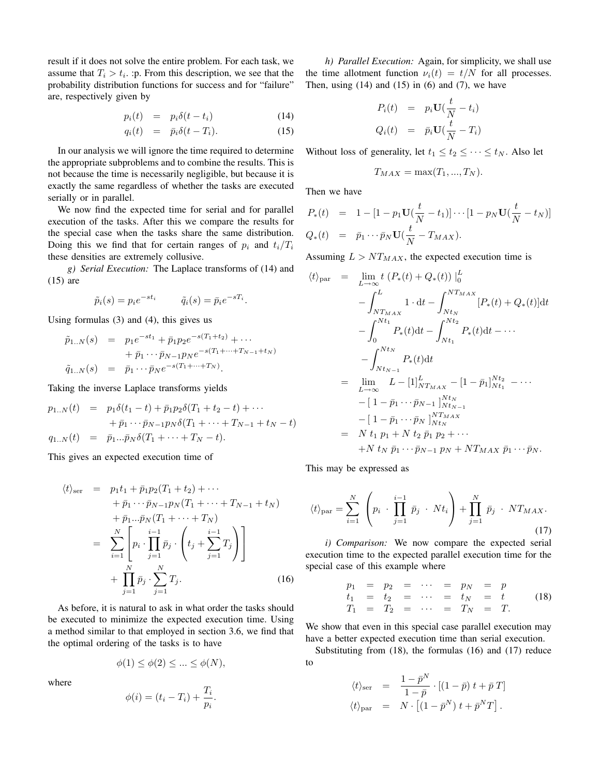result if it does not solve the entire problem. For each task, we assume that  $T_i > t_i$ . :p. From this description, we see that the probability distribution functions for success and for "failure" are, respectively given by

$$
p_i(t) = p_i \delta(t - t_i) \tag{14}
$$

$$
q_i(t) = \bar{p}_i \delta(t - T_i). \tag{15}
$$

In our analysis we will ignore the time required to determine the appropriate subproblems and to combine the results. This is not because the time is necessarily negligible, but because it is exactly the same regardless of whether the tasks are executed serially or in parallel.

We now find the expected time for serial and for parallel execution of the tasks. After this we compare the results for the special case when the tasks share the same distribution. Doing this we find that for certain ranges of  $p_i$  and  $t_i/T_i$ these densities are extremely collusive.

*g) Serial Execution:* The Laplace transforms of (14) and (15) are

$$
\tilde{p}_i(s) = p_i e^{-st_i} \qquad \tilde{q}_i(s) = \bar{p}_i e^{-sT_i}.
$$

Using formulas (3) and (4), this gives us

$$
\tilde{p}_{1..N}(s) = p_1 e^{-st_1} + \bar{p}_1 p_2 e^{-s(T_1+t_2)} + \cdots \n+ \bar{p}_1 \cdots \bar{p}_{N-1} p_N e^{-s(T_1+\cdots+T_{N-1}+t_N)} \n\tilde{q}_{1..N}(s) = \bar{p}_1 \cdots \bar{p}_N e^{-s(T_1+\cdots+T_N)}.
$$

Taking the inverse Laplace transforms yields

$$
p_{1..N}(t) = p_1 \delta(t_1 - t) + \bar{p}_1 p_2 \delta(T_1 + t_2 - t) + \cdots + \bar{p}_1 \cdots \bar{p}_{N-1} p_N \delta(T_1 + \cdots + T_{N-1} + t_N - t) q_{1..N}(t) = \bar{p}_1 \cdots \bar{p}_N \delta(T_1 + \cdots + T_N - t).
$$

This gives an expected execution time of

$$
\langle t \rangle_{\text{ser}} = p_1 t_1 + \bar{p}_1 p_2 (T_1 + t_2) + \cdots \n+ \bar{p}_1 \cdots \bar{p}_{N-1} p_N (T_1 + \cdots + T_{N-1} + t_N) \n+ \bar{p}_1 \cdots \bar{p}_N (T_1 + \cdots + T_N) \n= \sum_{i=1}^N \left[ p_i \cdot \prod_{j=1}^{i-1} \bar{p}_j \cdot \left( t_j + \sum_{j=1}^{i-1} T_j \right) \right] \n+ \prod_{j=1}^N \bar{p}_j \cdot \sum_{j=1}^N T_j.
$$
\n(16)

As before, it is natural to ask in what order the tasks should be executed to minimize the expected execution time. Using a method similar to that employed in section 3.6, we find that the optimal ordering of the tasks is to have

$$
\phi(1) \le \phi(2) \le \dots \le \phi(N),
$$

where

$$
\phi(i) = (t_i - T_i) + \frac{T_i}{p_i}.
$$

*h) Parallel Execution:* Again, for simplicity, we shall use the time allotment function  $\nu_i(t) = t/N$  for all processes. Then, using  $(14)$  and  $(15)$  in  $(6)$  and  $(7)$ , we have

$$
P_i(t) = p_i \mathbf{U} (\frac{t}{N} - t_i)
$$
  

$$
Q_i(t) = \bar{p}_i \mathbf{U} (\frac{t}{N} - T_i)
$$

Without loss of generality, let  $t_1 \le t_2 \le \cdots \le t_N$ . Also let

$$
T_{MAX} = \max(T_1, ..., T_N).
$$

Then we have

$$
P_*(t) = 1 - [1 - p_1 \mathbf{U}(\frac{t}{N} - t_1)] \cdots [1 - p_N \mathbf{U}(\frac{t}{N} - t_N)]
$$
  

$$
Q_*(t) = \bar{p}_1 \cdots \bar{p}_N \mathbf{U}(\frac{t}{N} - T_{MAX}).
$$

Assuming  $L > NT_{MAX}$ , the expected execution time is

$$
\langle t \rangle_{\text{par}} = \lim_{L \to \infty} t \left( P_*(t) + Q_*(t) \right) \Big|_0^L
$$
  
\n
$$
- \int_{NT_{MAX}}^L 1 \cdot dt - \int_{Nt_N}^{NT_{MAX}} [P_*(t) + Q_*(t)] dt
$$
  
\n
$$
- \int_0^{Nt_1} P_*(t) dt - \int_{Nt_1}^{Nt_2} P_*(t) dt - \cdots
$$
  
\n
$$
- \int_{Nt_{N-1}}^{Nt_N} P_*(t) dt
$$
  
\n
$$
= \lim_{L \to \infty} L - [1]_{NT_{MAX}}^L - [1 - \bar{p}_1]_{Nt_1}^{Nt_2} - \cdots
$$
  
\n
$$
- [1 - \bar{p}_1 \cdots \bar{p}_{N-1}]_{Nt_N}^{Nt_N}
$$
  
\n
$$
= N t_1 p_1 + N t_2 \bar{p}_1 p_2 + \cdots
$$
  
\n
$$
+ N t_N \bar{p}_1 \cdots \bar{p}_{N-1} p_N + NT_{MAX} \bar{p}_1 \cdots \bar{p}_N.
$$

This may be expressed as

$$
\langle t \rangle_{\text{par}} = \sum_{i=1}^{N} \left( p_i \cdot \prod_{j=1}^{i-1} \bar{p}_j \cdot Nt_i \right) + \prod_{j=1}^{N} \bar{p}_j \cdot N T_{MAX}.
$$
\n(17)

*i) Comparison:* We now compare the expected serial execution time to the expected parallel execution time for the special case of this example where

$$
p_1 = p_2 = \cdots = p_N = p \n t_1 = t_2 = \cdots = t_N = t \n T_1 = T_2 = \cdots = T_N = T.
$$
\n(18)

We show that even in this special case parallel execution may have a better expected execution time than serial execution.

Substituting from (18), the formulas (16) and (17) reduce to

$$
\langle t \rangle_{\text{ser}} = \frac{1 - \bar{p}^N}{1 - \bar{p}} \cdot \left[ (1 - \bar{p}) t + \bar{p} T \right]
$$

$$
\langle t \rangle_{\text{par}} = N \cdot \left[ (1 - \bar{p}^N) t + \bar{p}^N T \right].
$$